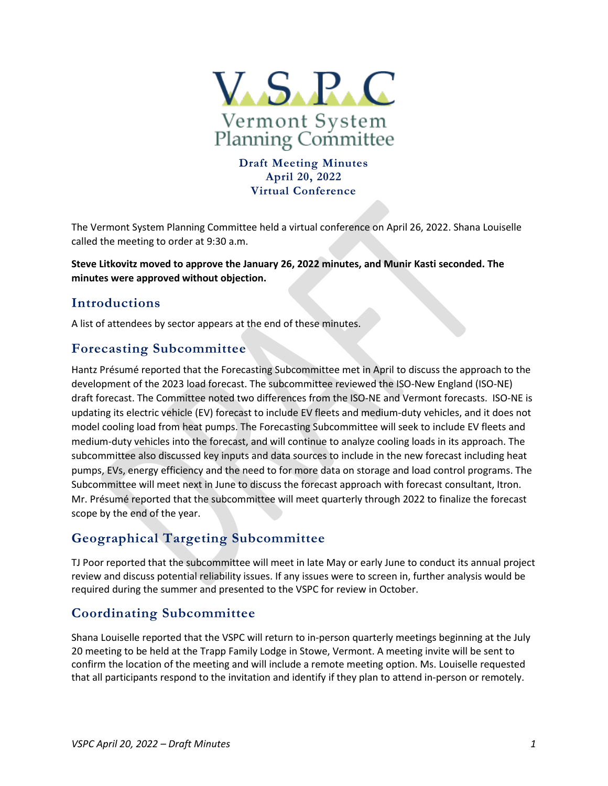

### **Draft Meeting Minutes April 20, 2022 Virtual Conference**

The Vermont System Planning Committee held a virtual conference on April 26, 2022. Shana Louiselle called the meeting to order at 9:30 a.m.

**Steve Litkovitz moved to approve the January 26, 2022 minutes, and Munir Kasti seconded. The minutes were approved without objection.** 

## **Introductions**

A list of attendees by sector appears at the end of these minutes.

### **Forecasting Subcommittee**

Hantz Présumé reported that the Forecasting Subcommittee met in April to discuss the approach to the development of the 2023 load forecast. The subcommittee reviewed the ISO-New England (ISO-NE) draft forecast. The Committee noted two differences from the ISO-NE and Vermont forecasts. ISO-NE is updating its electric vehicle (EV) forecast to include EV fleets and medium-duty vehicles, and it does not model cooling load from heat pumps. The Forecasting Subcommittee will seek to include EV fleets and medium-duty vehicles into the forecast, and will continue to analyze cooling loads in its approach. The subcommittee also discussed key inputs and data sources to include in the new forecast including heat pumps, EVs, energy efficiency and the need to for more data on storage and load control programs. The Subcommittee will meet next in June to discuss the forecast approach with forecast consultant, Itron. Mr. Présumé reported that the subcommittee will meet quarterly through 2022 to finalize the forecast scope by the end of the year.

## **Geographical Targeting Subcommittee**

TJ Poor reported that the subcommittee will meet in late May or early June to conduct its annual project review and discuss potential reliability issues. If any issues were to screen in, further analysis would be required during the summer and presented to the VSPC for review in October.

## **Coordinating Subcommittee**

Shana Louiselle reported that the VSPC will return to in-person quarterly meetings beginning at the July 20 meeting to be held at the Trapp Family Lodge in Stowe, Vermont. A meeting invite will be sent to confirm the location of the meeting and will include a remote meeting option. Ms. Louiselle requested that all participants respond to the invitation and identify if they plan to attend in-person or remotely.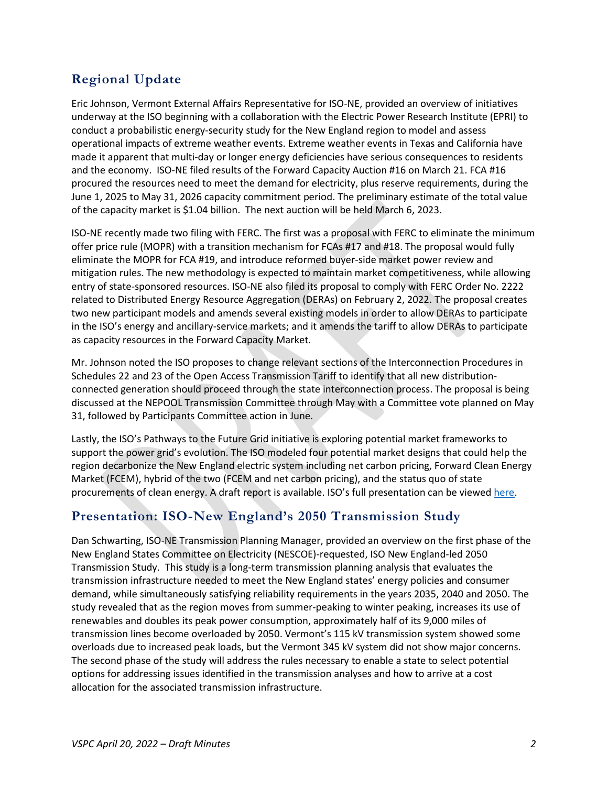# **Regional Update**

Eric Johnson, Vermont External Affairs Representative for ISO-NE, provided an overview of initiatives underway at the ISO beginning with a collaboration with the Electric Power Research Institute (EPRI) to conduct a probabilistic energy-security study for the New England region to model and assess operational impacts of extreme weather events. Extreme weather events in Texas and California have made it apparent that multi-day or longer energy deficiencies have serious consequences to residents and the economy. ISO-NE filed results of the Forward Capacity Auction #16 on March 21. FCA #16 procured the resources need to meet the demand for electricity, plus reserve requirements, during the June 1, 2025 to May 31, 2026 capacity commitment period. The preliminary estimate of the total value of the capacity market is \$1.04 billion. The next auction will be held March 6, 2023.

ISO-NE recently made two filing with FERC. The first was a proposal with FERC to eliminate the minimum offer price rule (MOPR) with a transition mechanism for FCAs #17 and #18. The proposal would fully eliminate the MOPR for FCA #19, and introduce reformed buyer-side market power review and mitigation rules. The new methodology is expected to maintain market competitiveness, while allowing entry of state-sponsored resources. ISO-NE also filed its proposal to comply with FERC Order No. 2222 related to Distributed Energy Resource Aggregation (DERAs) on February 2, 2022. The proposal creates two new participant models and amends several existing models in order to allow DERAs to participate in the ISO's energy and ancillary-service markets; and it amends the tariff to allow DERAs to participate as capacity resources in the Forward Capacity Market.

Mr. Johnson noted the ISO proposes to change relevant sections of the Interconnection Procedures in Schedules 22 and 23 of the Open Access Transmission Tariff to identify that all new distributionconnected generation should proceed through the state interconnection process. The proposal is being discussed at the NEPOOL Transmission Committee through May with a Committee vote planned on May 31, followed by Participants Committee action in June.

Lastly, the ISO's Pathways to the Future Grid initiative is exploring potential market frameworks to support the power grid's evolution. The ISO modeled four potential market designs that could help the region decarbonize the New England electric system including net carbon pricing, Forward Clean Energy Market (FCEM), hybrid of the two (FCEM and net carbon pricing), and the status quo of state procurements of clean energy. A draft report is available. ISO's full presentation can be viewe[d here.](https://www.vermontspc.com/library/document/download/7524/April_20_2022_VSPC_ISO_NE_Update_Final.pdf)

## **Presentation: ISO-New England's 2050 Transmission Study**

Dan Schwarting, ISO-NE Transmission Planning Manager, provided an overview on the first phase of the New England States Committee on Electricity (NESCOE)-requested, ISO New England-led 2050 Transmission Study. This study is a long-term transmission planning analysis that evaluates the transmission infrastructure needed to meet the New England states' energy policies and consumer demand, while simultaneously satisfying reliability requirements in the years 2035, 2040 and 2050. The study revealed that as the region moves from summer-peaking to winter peaking, increases its use of renewables and doubles its peak power consumption, approximately half of its 9,000 miles of transmission lines become overloaded by 2050. Vermont's 115 kV transmission system showed some overloads due to increased peak loads, but the Vermont 345 kV system did not show major concerns. The second phase of the study will address the rules necessary to enable a state to select potential options for addressing issues identified in the transmission analyses and how to arrive at a cost allocation for the associated transmission infrastructure.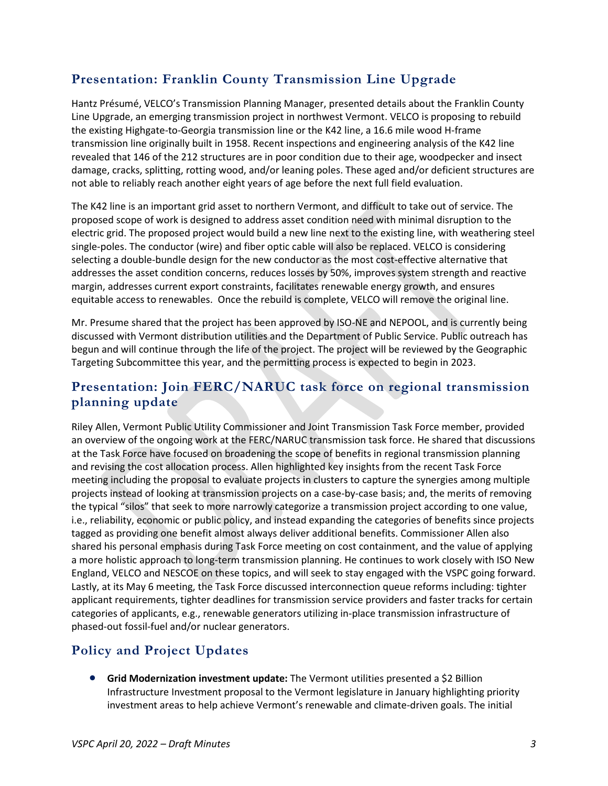# **Presentation: Franklin County Transmission Line Upgrade**

Hantz Présumé, VELCO's Transmission Planning Manager, presented details about the Franklin County Line Upgrade, an emerging transmission project in northwest Vermont. VELCO is proposing to rebuild the existing Highgate-to-Georgia transmission line or the K42 line, a 16.6 mile wood H-frame transmission line originally built in 1958. Recent inspections and engineering analysis of the K42 line revealed that 146 of the 212 structures are in poor condition due to their age, woodpecker and insect damage, cracks, splitting, rotting wood, and/or leaning poles. These aged and/or deficient structures are not able to reliably reach another eight years of age before the next full field evaluation.

The K42 line is an important grid asset to northern Vermont, and difficult to take out of service. The proposed scope of work is designed to address asset condition need with minimal disruption to the electric grid. The proposed project would build a new line next to the existing line, with weathering steel single-poles. The conductor (wire) and fiber optic cable will also be replaced. VELCO is considering selecting a double-bundle design for the new conductor as the most cost-effective alternative that addresses the asset condition concerns, reduces losses by 50%, improves system strength and reactive margin, addresses current export constraints, facilitates renewable energy growth, and ensures equitable access to renewables. Once the rebuild is complete, VELCO will remove the original line.

Mr. Presume shared that the project has been approved by ISO-NE and NEPOOL, and is currently being discussed with Vermont distribution utilities and the Department of Public Service. Public outreach has begun and will continue through the life of the project. The project will be reviewed by the Geographic Targeting Subcommittee this year, and the permitting process is expected to begin in 2023.

### **Presentation: Join FERC/NARUC task force on regional transmission planning update**

Riley Allen, Vermont Public Utility Commissioner and Joint Transmission Task Force member, provided an overview of the ongoing work at the FERC/NARUC transmission task force. He shared that discussions at the Task Force have focused on broadening the scope of benefits in regional transmission planning and revising the cost allocation process. Allen highlighted key insights from the recent Task Force meeting including the proposal to evaluate projects in clusters to capture the synergies among multiple projects instead of looking at transmission projects on a case-by-case basis; and, the merits of removing the typical "silos" that seek to more narrowly categorize a transmission project according to one value, i.e., reliability, economic or public policy, and instead expanding the categories of benefits since projects tagged as providing one benefit almost always deliver additional benefits. Commissioner Allen also shared his personal emphasis during Task Force meeting on cost containment, and the value of applying a more holistic approach to long-term transmission planning. He continues to work closely with ISO New England, VELCO and NESCOE on these topics, and will seek to stay engaged with the VSPC going forward. Lastly, at its May 6 meeting, the Task Force discussed interconnection queue reforms including: tighter applicant requirements, tighter deadlines for transmission service providers and faster tracks for certain categories of applicants, e.g., renewable generators utilizing in-place transmission infrastructure of phased-out fossil-fuel and/or nuclear generators.

# **Policy and Project Updates**

**• Grid Modernization investment update:** The Vermont utilities presented a \$2 Billion Infrastructure Investment proposal to the Vermont legislature in January highlighting priority investment areas to help achieve Vermont's renewable and climate-driven goals. The initial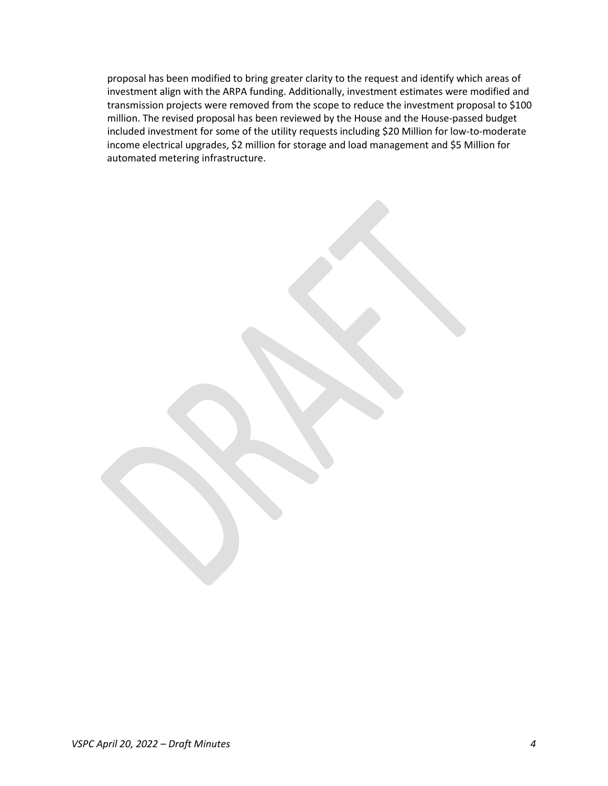proposal has been modified to bring greater clarity to the request and identify which areas of investment align with the ARPA funding. Additionally, investment estimates were modified and transmission projects were removed from the scope to reduce the investment proposal to \$100 million. The revised proposal has been reviewed by the House and the House-passed budget included investment for some of the utility requests including \$20 Million for low-to-moderate income electrical upgrades, \$2 million for storage and load management and \$5 Million for automated metering infrastructure.